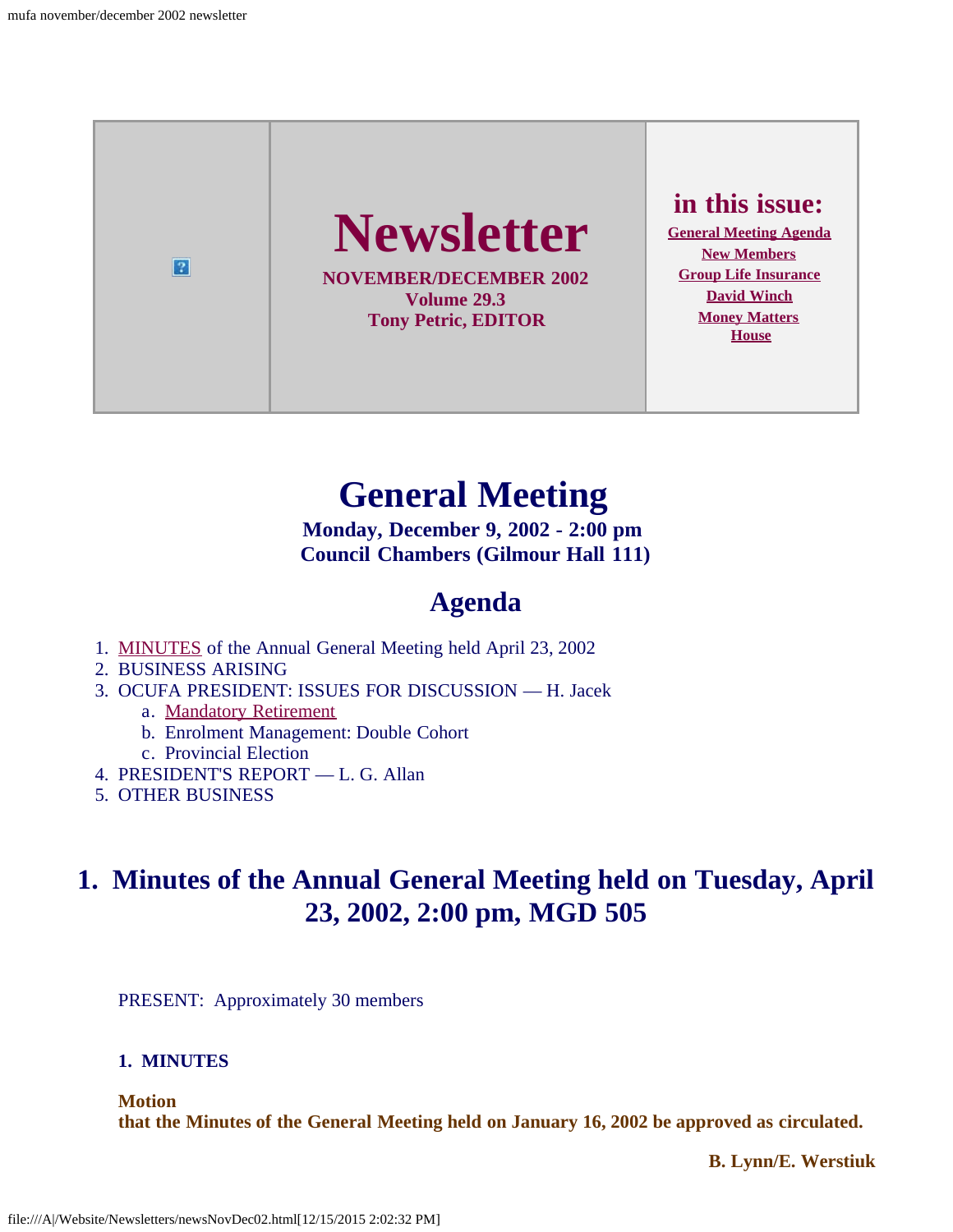

# **General Meeting**

**Monday, December 9, 2002 - 2:00 pm Council Chambers (Gilmour Hall 111)**

## **Agenda**

- <span id="page-0-0"></span>1. [MINUTES](#page-0-1) of the Annual General Meeting held April 23, 2002
- 2. BUSINESS ARISING
- 3. OCUFA PRESIDENT: ISSUES FOR DISCUSSION H. Jacek
	- a. [Mandatory Retirement](#page-4-0)
	- b. Enrolment Management: Double Cohort
	- c. Provincial Election
- 4. PRESIDENT'S REPORT L. G. Allan
- 5. OTHER BUSINESS

## <span id="page-0-1"></span>**1. Minutes of the Annual General Meeting held on Tuesday, April 23, 2002, 2:00 pm, MGD 505**

PRESENT: Approximately 30 members

#### **1. MINUTES**

**Motion**

**that the Minutes of the General Meeting held on January 16, 2002 be approved as circulated.**

 **B. Lynn/E. Werstiuk**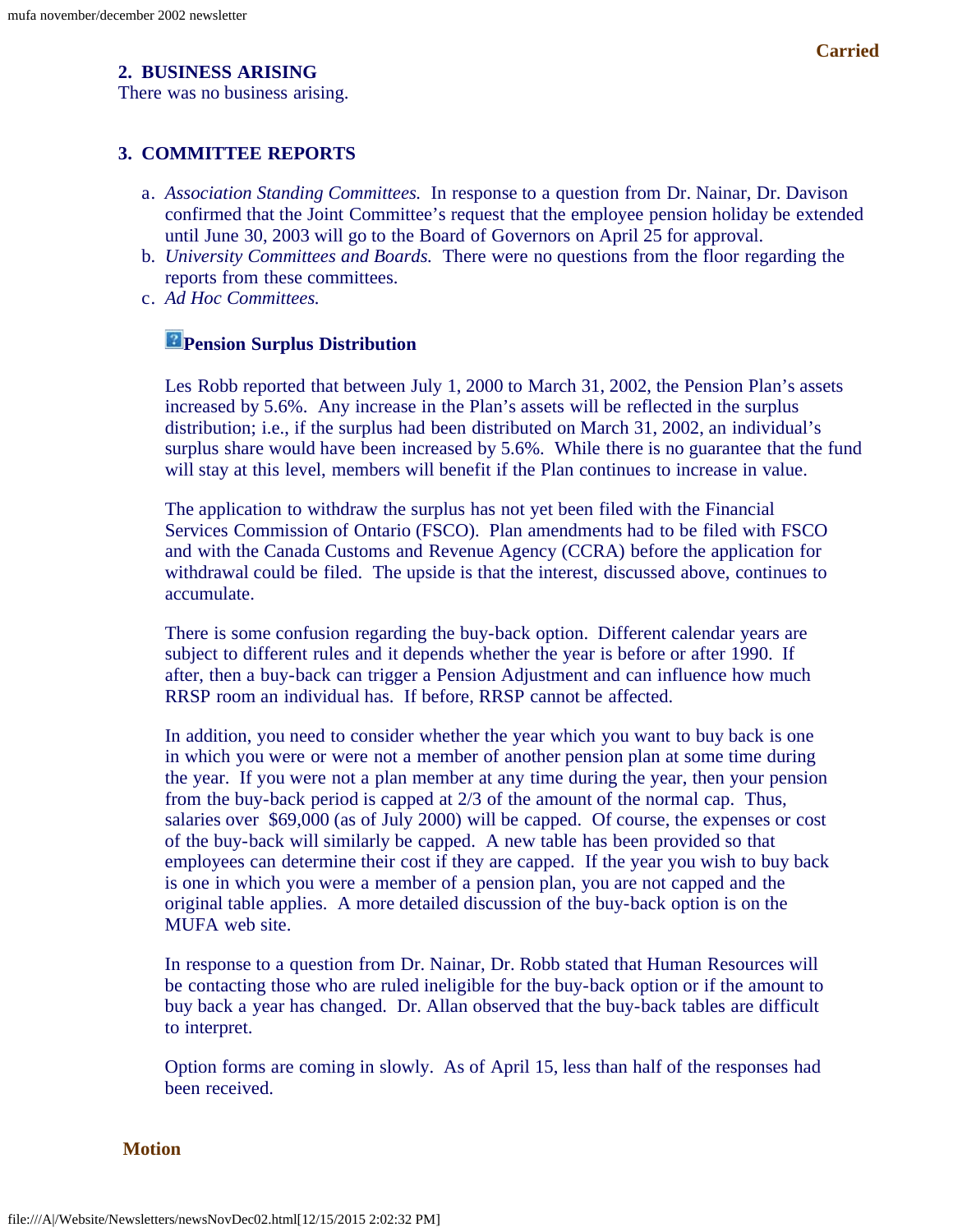#### **2. BUSINESS ARISING**

There was no business arising.

#### **3. COMMITTEE REPORTS**

- a. *Association Standing Committees.* In response to a question from Dr. Nainar, Dr. Davison confirmed that the Joint Committee's request that the employee pension holiday be extended until June 30, 2003 will go to the Board of Governors on April 25 for approval.
- b. *University Committees and Boards.* There were no questions from the floor regarding the reports from these committees.
- c. *Ad Hoc Committees.*

#### **Pension Surplus Distribution**

Les Robb reported that between July 1, 2000 to March 31, 2002, the Pension Plan's assets increased by 5.6%. Any increase in the Plan's assets will be reflected in the surplus distribution; i.e., if the surplus had been distributed on March 31, 2002, an individual's surplus share would have been increased by 5.6%. While there is no guarantee that the fund will stay at this level, members will benefit if the Plan continues to increase in value.

The application to withdraw the surplus has not yet been filed with the Financial Services Commission of Ontario (FSCO). Plan amendments had to be filed with FSCO and with the Canada Customs and Revenue Agency (CCRA) before the application for withdrawal could be filed. The upside is that the interest, discussed above, continues to accumulate.

There is some confusion regarding the buy-back option. Different calendar years are subject to different rules and it depends whether the year is before or after 1990. If after, then a buy-back can trigger a Pension Adjustment and can influence how much RRSP room an individual has. If before, RRSP cannot be affected.

In addition, you need to consider whether the year which you want to buy back is one in which you were or were not a member of another pension plan at some time during the year. If you were not a plan member at any time during the year, then your pension from the buy-back period is capped at 2/3 of the amount of the normal cap. Thus, salaries over \$69,000 (as of July 2000) will be capped. Of course, the expenses or cost of the buy-back will similarly be capped. A new table has been provided so that employees can determine their cost if they are capped. If the year you wish to buy back is one in which you were a member of a pension plan, you are not capped and the original table applies. A more detailed discussion of the buy-back option is on the MUFA web site.

In response to a question from Dr. Nainar, Dr. Robb stated that Human Resources will be contacting those who are ruled ineligible for the buy-back option or if the amount to buy back a year has changed. Dr. Allan observed that the buy-back tables are difficult to interpret.

Option forms are coming in slowly. As of April 15, less than half of the responses had been received.

**Motion**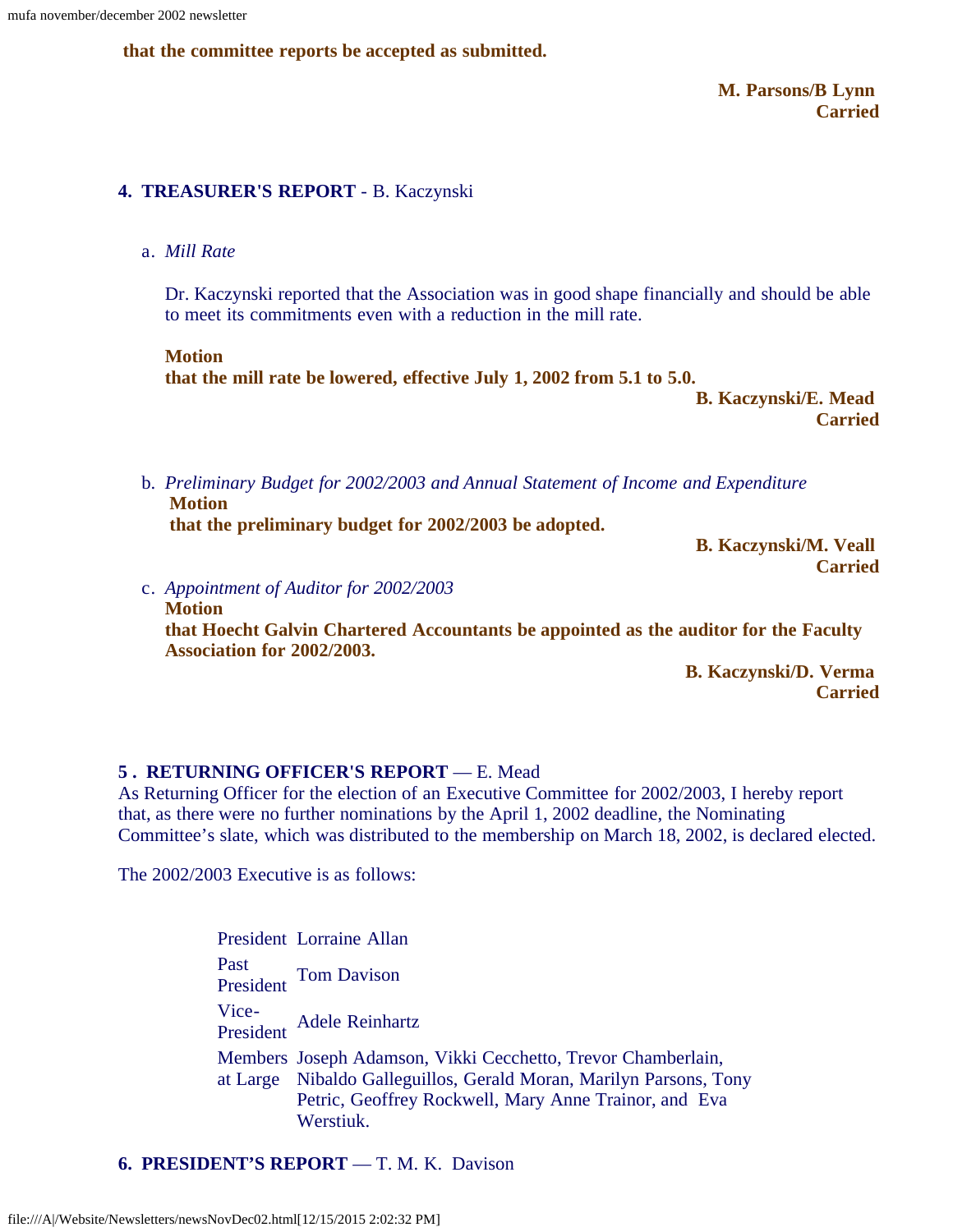**that the committee reports be accepted as submitted.**

 **M. Parsons/B Lynn Carried**

#### **4. TREASURER'S REPORT** - B. Kaczynski

#### a. *Mill Rate*

Dr. Kaczynski reported that the Association was in good shape financially and should be able to meet its commitments even with a reduction in the mill rate.

**Motion that the mill rate be lowered, effective July 1, 2002 from 5.1 to 5.0.**

 **B. Kaczynski/E. Mead Carried**

b. *Preliminary Budget for 2002/2003 and Annual Statement of Income and Expenditure* **Motion**

**that the preliminary budget for 2002/2003 be adopted.**

 **B. Kaczynski/M. Veall Carried**

c. *Appointment of Auditor for 2002/2003* **Motion that Hoecht Galvin Chartered Accountants be appointed as the auditor for the Faculty Association for 2002/2003.**

 **B. Kaczynski/D. Verma Carried**

#### **5 . RETURNING OFFICER'S REPORT** — E. Mead

As Returning Officer for the election of an Executive Committee for 2002/2003, I hereby report that, as there were no further nominations by the April 1, 2002 deadline, the Nominating Committee's slate, which was distributed to the membership on March 18, 2002, is declared elected.

The 2002/2003 Executive is as follows:

President Lorraine Allan Past President Tom Davison Vice-President Adele Reinhartz Members Joseph Adamson, Vikki Cecchetto, Trevor Chamberlain, at Large Nibaldo Galleguillos, Gerald Moran, Marilyn Parsons, Tony Petric, Geoffrey Rockwell, Mary Anne Trainor, and Eva Werstiuk.

**6. PRESIDENT'S REPORT** — T. M. K. Davison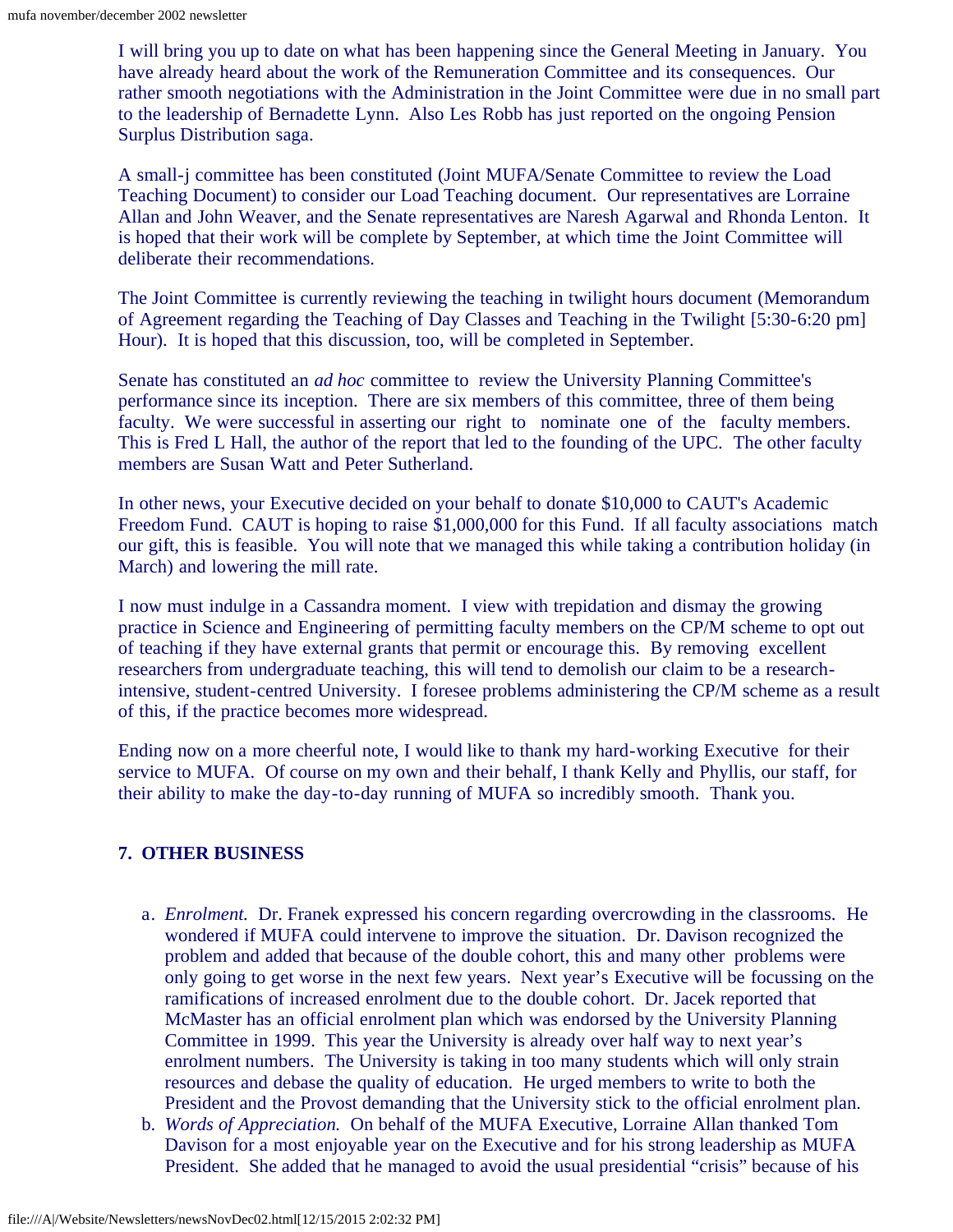I will bring you up to date on what has been happening since the General Meeting in January. You have already heard about the work of the Remuneration Committee and its consequences. Our rather smooth negotiations with the Administration in the Joint Committee were due in no small part to the leadership of Bernadette Lynn. Also Les Robb has just reported on the ongoing Pension Surplus Distribution saga.

A small-j committee has been constituted (Joint MUFA/Senate Committee to review the Load Teaching Document) to consider our Load Teaching document. Our representatives are Lorraine Allan and John Weaver, and the Senate representatives are Naresh Agarwal and Rhonda Lenton. It is hoped that their work will be complete by September, at which time the Joint Committee will deliberate their recommendations.

The Joint Committee is currently reviewing the teaching in twilight hours document (Memorandum of Agreement regarding the Teaching of Day Classes and Teaching in the Twilight [5:30-6:20 pm] Hour). It is hoped that this discussion, too, will be completed in September.

Senate has constituted an *ad hoc* committee to review the University Planning Committee's performance since its inception. There are six members of this committee, three of them being faculty. We were successful in asserting our right to nominate one of the faculty members. This is Fred L Hall, the author of the report that led to the founding of the UPC. The other faculty members are Susan Watt and Peter Sutherland.

In other news, your Executive decided on your behalf to donate \$10,000 to CAUT's Academic Freedom Fund. CAUT is hoping to raise \$1,000,000 for this Fund. If all faculty associations match our gift, this is feasible. You will note that we managed this while taking a contribution holiday (in March) and lowering the mill rate.

I now must indulge in a Cassandra moment. I view with trepidation and dismay the growing practice in Science and Engineering of permitting faculty members on the CP/M scheme to opt out of teaching if they have external grants that permit or encourage this. By removing excellent researchers from undergraduate teaching, this will tend to demolish our claim to be a researchintensive, student-centred University. I foresee problems administering the CP/M scheme as a result of this, if the practice becomes more widespread.

Ending now on a more cheerful note, I would like to thank my hard-working Executive for their service to MUFA. Of course on my own and their behalf, I thank Kelly and Phyllis, our staff, for their ability to make the day-to-day running of MUFA so incredibly smooth. Thank you.

#### **7. OTHER BUSINESS**

- a. *Enrolment.* Dr. Franek expressed his concern regarding overcrowding in the classrooms. He wondered if MUFA could intervene to improve the situation. Dr. Davison recognized the problem and added that because of the double cohort, this and many other problems were only going to get worse in the next few years. Next year's Executive will be focussing on the ramifications of increased enrolment due to the double cohort. Dr. Jacek reported that McMaster has an official enrolment plan which was endorsed by the University Planning Committee in 1999. This year the University is already over half way to next year's enrolment numbers. The University is taking in too many students which will only strain resources and debase the quality of education. He urged members to write to both the President and the Provost demanding that the University stick to the official enrolment plan.
- b. *Words of Appreciation.* On behalf of the MUFA Executive, Lorraine Allan thanked Tom Davison for a most enjoyable year on the Executive and for his strong leadership as MUFA President. She added that he managed to avoid the usual presidential "crisis" because of his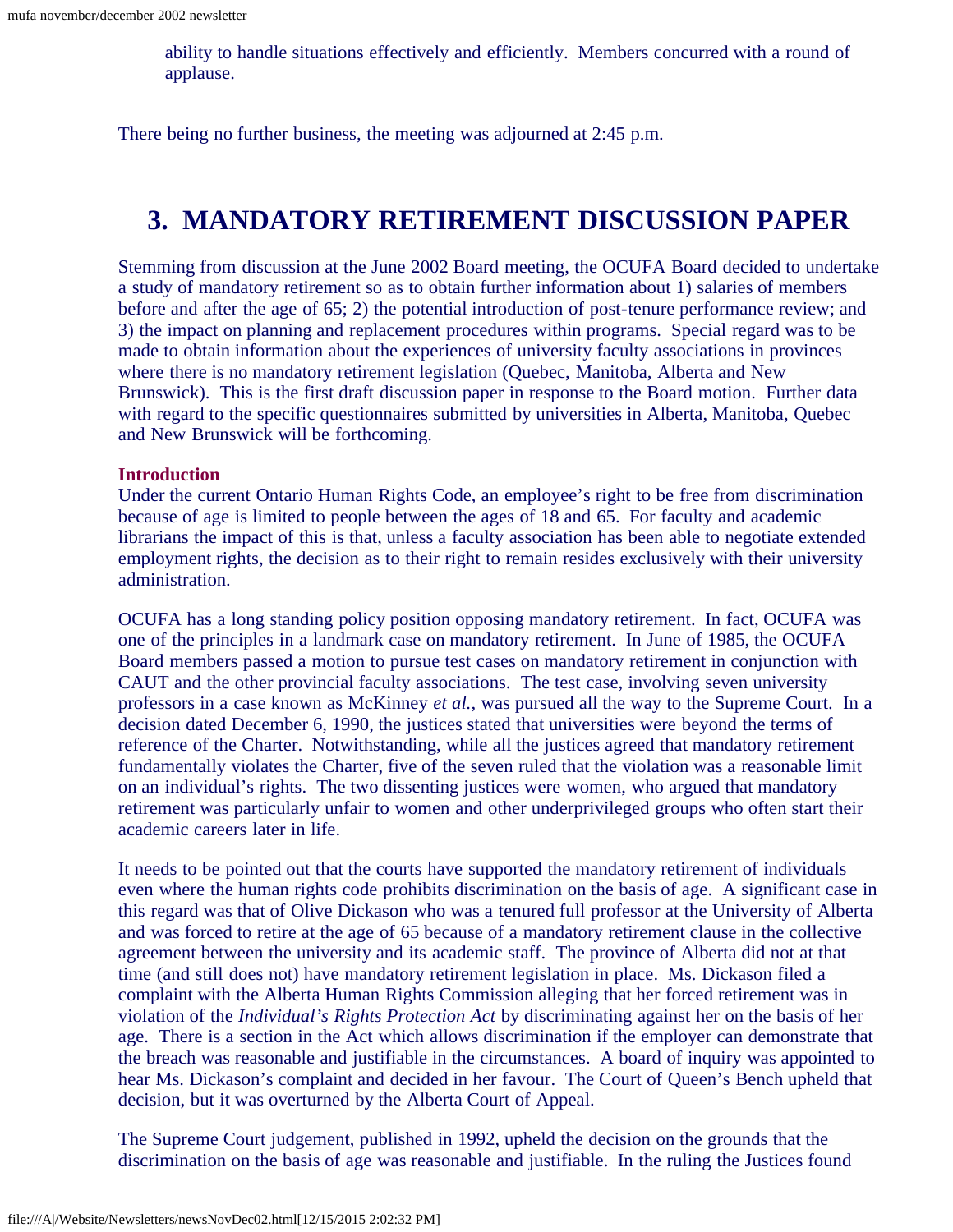ability to handle situations effectively and efficiently. Members concurred with a round of applause.

There being no further business, the meeting was adjourned at 2:45 p.m.

## **3. MANDATORY RETIREMENT DISCUSSION PAPER**

<span id="page-4-0"></span>Stemming from discussion at the June 2002 Board meeting, the OCUFA Board decided to undertake a study of mandatory retirement so as to obtain further information about 1) salaries of members before and after the age of 65; 2) the potential introduction of post-tenure performance review; and 3) the impact on planning and replacement procedures within programs. Special regard was to be made to obtain information about the experiences of university faculty associations in provinces where there is no mandatory retirement legislation (Quebec, Manitoba, Alberta and New Brunswick). This is the first draft discussion paper in response to the Board motion. Further data with regard to the specific questionnaires submitted by universities in Alberta, Manitoba, Quebec and New Brunswick will be forthcoming.

#### **Introduction**

Under the current Ontario Human Rights Code, an employee's right to be free from discrimination because of age is limited to people between the ages of 18 and 65. For faculty and academic librarians the impact of this is that, unless a faculty association has been able to negotiate extended employment rights, the decision as to their right to remain resides exclusively with their university administration.

OCUFA has a long standing policy position opposing mandatory retirement. In fact, OCUFA was one of the principles in a landmark case on mandatory retirement. In June of 1985, the OCUFA Board members passed a motion to pursue test cases on mandatory retirement in conjunction with CAUT and the other provincial faculty associations. The test case, involving seven university professors in a case known as McKinney *et al.,* was pursued all the way to the Supreme Court. In a decision dated December 6, 1990, the justices stated that universities were beyond the terms of reference of the Charter. Notwithstanding, while all the justices agreed that mandatory retirement fundamentally violates the Charter, five of the seven ruled that the violation was a reasonable limit on an individual's rights. The two dissenting justices were women, who argued that mandatory retirement was particularly unfair to women and other underprivileged groups who often start their academic careers later in life.

It needs to be pointed out that the courts have supported the mandatory retirement of individuals even where the human rights code prohibits discrimination on the basis of age. A significant case in this regard was that of Olive Dickason who was a tenured full professor at the University of Alberta and was forced to retire at the age of 65 because of a mandatory retirement clause in the collective agreement between the university and its academic staff. The province of Alberta did not at that time (and still does not) have mandatory retirement legislation in place. Ms. Dickason filed a complaint with the Alberta Human Rights Commission alleging that her forced retirement was in violation of the *Individual's Rights Protection Act* by discriminating against her on the basis of her age. There is a section in the Act which allows discrimination if the employer can demonstrate that the breach was reasonable and justifiable in the circumstances. A board of inquiry was appointed to hear Ms. Dickason's complaint and decided in her favour. The Court of Queen's Bench upheld that decision, but it was overturned by the Alberta Court of Appeal.

The Supreme Court judgement, published in 1992, upheld the decision on the grounds that the discrimination on the basis of age was reasonable and justifiable. In the ruling the Justices found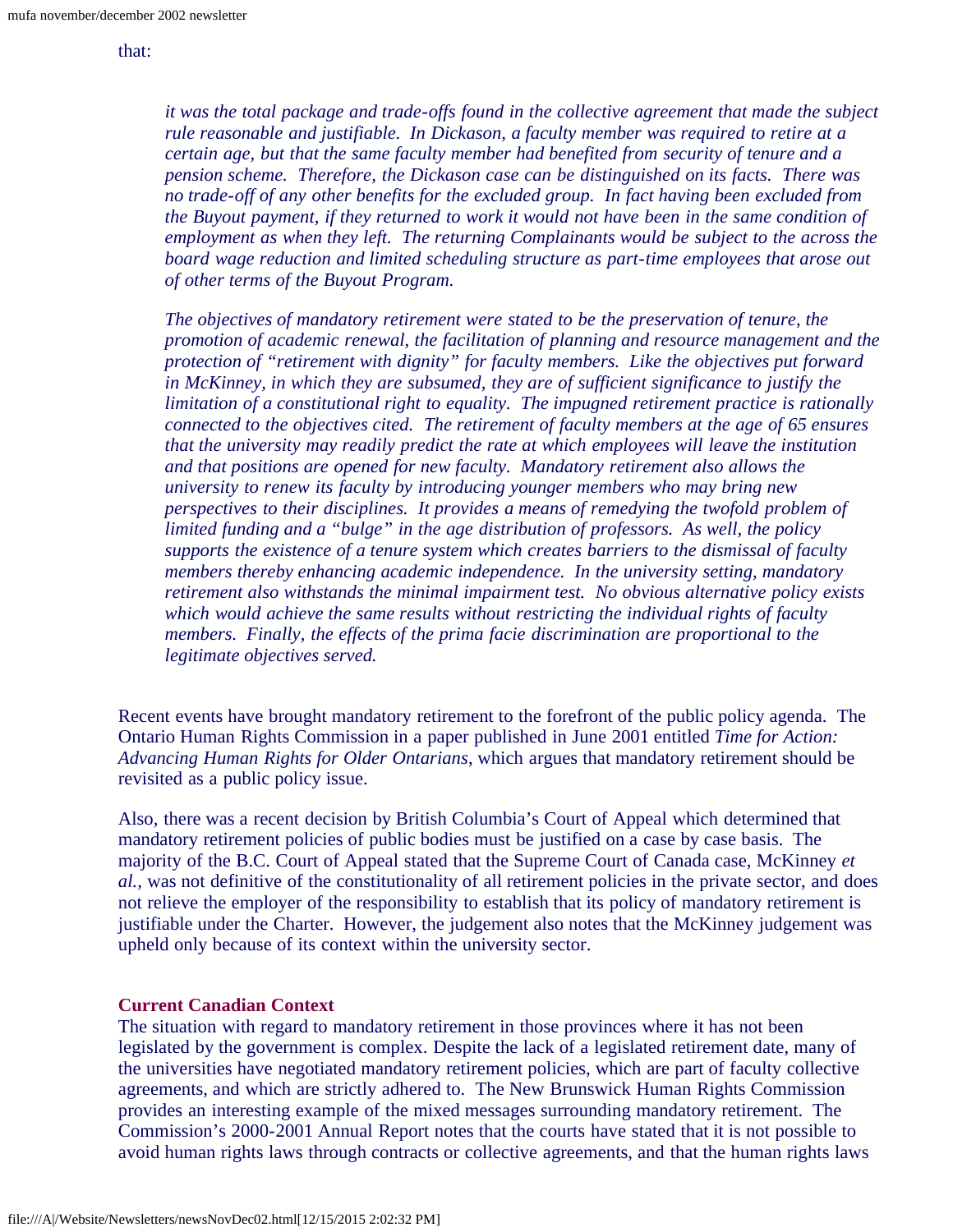#### that:

*it was the total package and trade-offs found in the collective agreement that made the subject rule reasonable and justifiable. In Dickason, a faculty member was required to retire at a certain age, but that the same faculty member had benefited from security of tenure and a pension scheme. Therefore, the Dickason case can be distinguished on its facts. There was no trade-off of any other benefits for the excluded group. In fact having been excluded from the Buyout payment, if they returned to work it would not have been in the same condition of employment as when they left. The returning Complainants would be subject to the across the board wage reduction and limited scheduling structure as part-time employees that arose out of other terms of the Buyout Program.*

*The objectives of mandatory retirement were stated to be the preservation of tenure, the promotion of academic renewal, the facilitation of planning and resource management and the protection of "retirement with dignity" for faculty members. Like the objectives put forward in McKinney, in which they are subsumed, they are of sufficient significance to justify the limitation of a constitutional right to equality. The impugned retirement practice is rationally connected to the objectives cited. The retirement of faculty members at the age of 65 ensures that the university may readily predict the rate at which employees will leave the institution and that positions are opened for new faculty. Mandatory retirement also allows the university to renew its faculty by introducing younger members who may bring new perspectives to their disciplines. It provides a means of remedying the twofold problem of limited funding and a "bulge" in the age distribution of professors. As well, the policy supports the existence of a tenure system which creates barriers to the dismissal of faculty members thereby enhancing academic independence. In the university setting, mandatory retirement also withstands the minimal impairment test. No obvious alternative policy exists which would achieve the same results without restricting the individual rights of faculty members. Finally, the effects of the prima facie discrimination are proportional to the legitimate objectives served.*

Recent events have brought mandatory retirement to the forefront of the public policy agenda. The Ontario Human Rights Commission in a paper published in June 2001 entitled *Time for Action: Advancing Human Rights for Older Ontarians*, which argues that mandatory retirement should be revisited as a public policy issue.

Also, there was a recent decision by British Columbia's Court of Appeal which determined that mandatory retirement policies of public bodies must be justified on a case by case basis. The majority of the B.C. Court of Appeal stated that the Supreme Court of Canada case, McKinney *et al.,* was not definitive of the constitutionality of all retirement policies in the private sector, and does not relieve the employer of the responsibility to establish that its policy of mandatory retirement is justifiable under the Charter. However, the judgement also notes that the McKinney judgement was upheld only because of its context within the university sector.

#### **Current Canadian Context**

The situation with regard to mandatory retirement in those provinces where it has not been legislated by the government is complex. Despite the lack of a legislated retirement date, many of the universities have negotiated mandatory retirement policies, which are part of faculty collective agreements, and which are strictly adhered to. The New Brunswick Human Rights Commission provides an interesting example of the mixed messages surrounding mandatory retirement. The Commission's 2000-2001 Annual Report notes that the courts have stated that it is not possible to avoid human rights laws through contracts or collective agreements, and that the human rights laws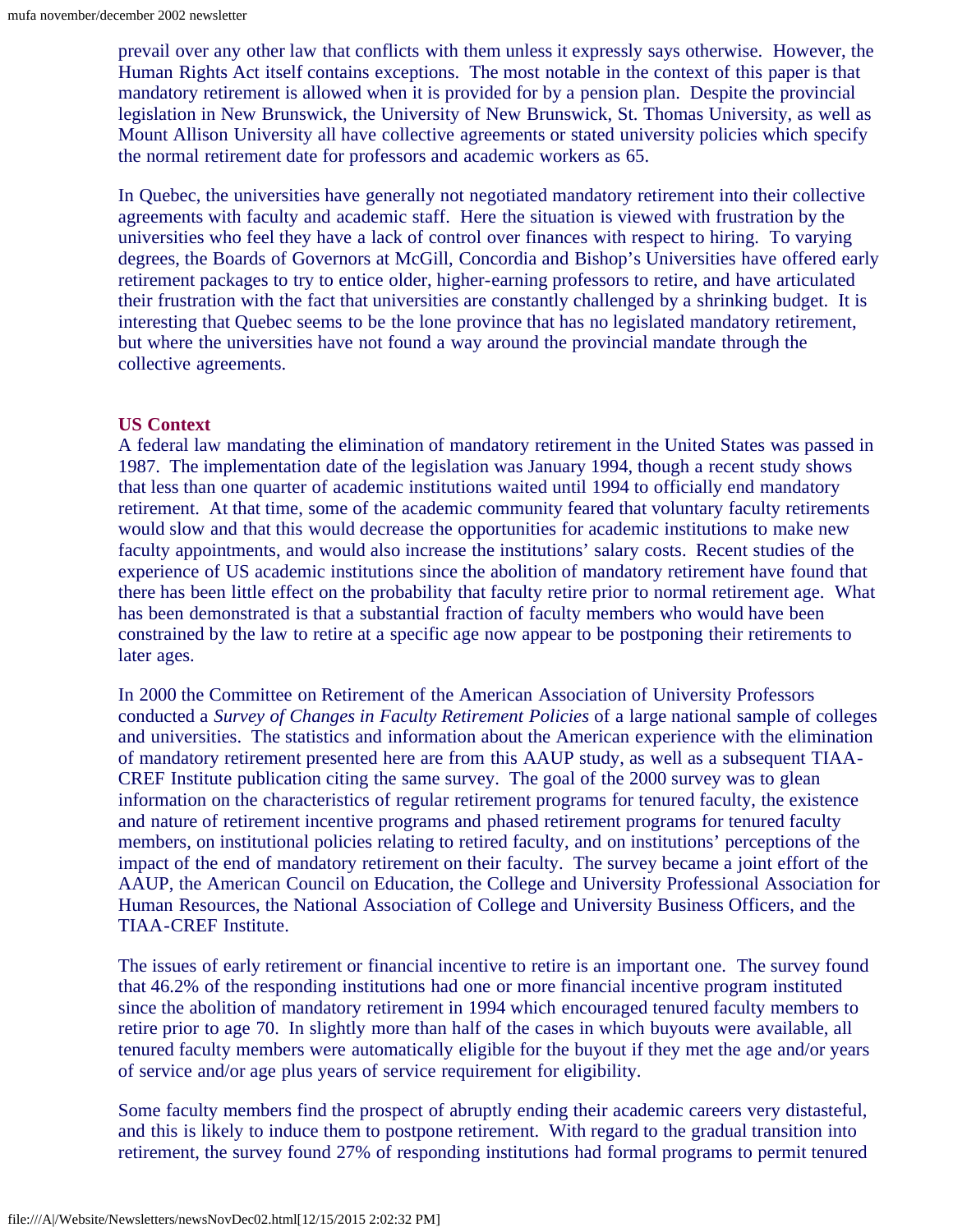prevail over any other law that conflicts with them unless it expressly says otherwise. However, the Human Rights Act itself contains exceptions. The most notable in the context of this paper is that mandatory retirement is allowed when it is provided for by a pension plan. Despite the provincial legislation in New Brunswick, the University of New Brunswick, St. Thomas University, as well as Mount Allison University all have collective agreements or stated university policies which specify the normal retirement date for professors and academic workers as 65.

In Quebec, the universities have generally not negotiated mandatory retirement into their collective agreements with faculty and academic staff. Here the situation is viewed with frustration by the universities who feel they have a lack of control over finances with respect to hiring. To varying degrees, the Boards of Governors at McGill, Concordia and Bishop's Universities have offered early retirement packages to try to entice older, higher-earning professors to retire, and have articulated their frustration with the fact that universities are constantly challenged by a shrinking budget. It is interesting that Quebec seems to be the lone province that has no legislated mandatory retirement, but where the universities have not found a way around the provincial mandate through the collective agreements.

#### **US Context**

A federal law mandating the elimination of mandatory retirement in the United States was passed in 1987. The implementation date of the legislation was January 1994, though a recent study shows that less than one quarter of academic institutions waited until 1994 to officially end mandatory retirement. At that time, some of the academic community feared that voluntary faculty retirements would slow and that this would decrease the opportunities for academic institutions to make new faculty appointments, and would also increase the institutions' salary costs. Recent studies of the experience of US academic institutions since the abolition of mandatory retirement have found that there has been little effect on the probability that faculty retire prior to normal retirement age. What has been demonstrated is that a substantial fraction of faculty members who would have been constrained by the law to retire at a specific age now appear to be postponing their retirements to later ages.

In 2000 the Committee on Retirement of the American Association of University Professors conducted a *Survey of Changes in Faculty Retirement Policies* of a large national sample of colleges and universities. The statistics and information about the American experience with the elimination of mandatory retirement presented here are from this AAUP study, as well as a subsequent TIAA-CREF Institute publication citing the same survey. The goal of the 2000 survey was to glean information on the characteristics of regular retirement programs for tenured faculty, the existence and nature of retirement incentive programs and phased retirement programs for tenured faculty members, on institutional policies relating to retired faculty, and on institutions' perceptions of the impact of the end of mandatory retirement on their faculty. The survey became a joint effort of the AAUP, the American Council on Education, the College and University Professional Association for Human Resources, the National Association of College and University Business Officers, and the TIAA-CREF Institute.

The issues of early retirement or financial incentive to retire is an important one. The survey found that 46.2% of the responding institutions had one or more financial incentive program instituted since the abolition of mandatory retirement in 1994 which encouraged tenured faculty members to retire prior to age 70. In slightly more than half of the cases in which buyouts were available, all tenured faculty members were automatically eligible for the buyout if they met the age and/or years of service and/or age plus years of service requirement for eligibility.

Some faculty members find the prospect of abruptly ending their academic careers very distasteful, and this is likely to induce them to postpone retirement. With regard to the gradual transition into retirement, the survey found 27% of responding institutions had formal programs to permit tenured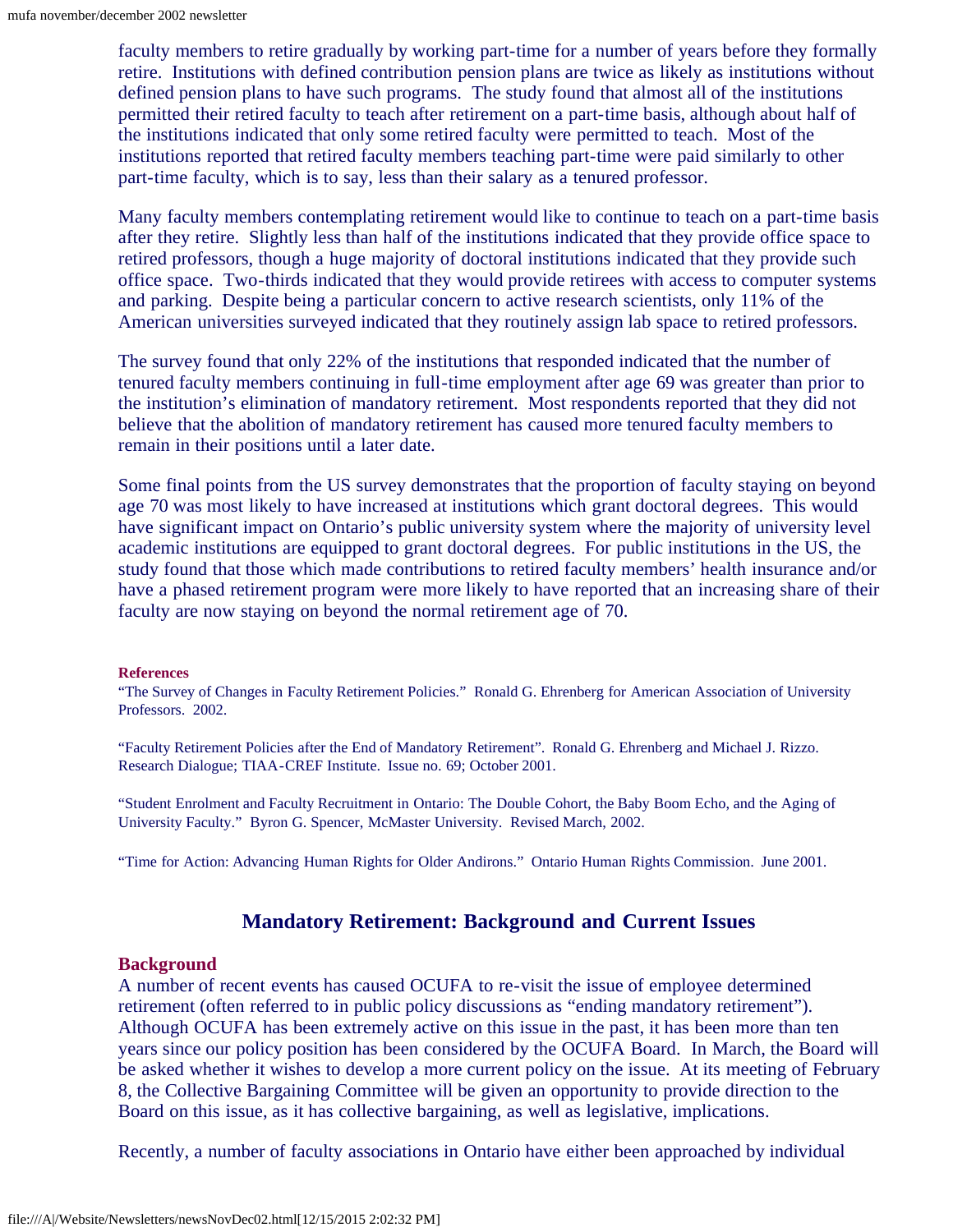faculty members to retire gradually by working part-time for a number of years before they formally retire. Institutions with defined contribution pension plans are twice as likely as institutions without defined pension plans to have such programs. The study found that almost all of the institutions permitted their retired faculty to teach after retirement on a part-time basis, although about half of the institutions indicated that only some retired faculty were permitted to teach. Most of the institutions reported that retired faculty members teaching part-time were paid similarly to other part-time faculty, which is to say, less than their salary as a tenured professor.

Many faculty members contemplating retirement would like to continue to teach on a part-time basis after they retire. Slightly less than half of the institutions indicated that they provide office space to retired professors, though a huge majority of doctoral institutions indicated that they provide such office space. Two-thirds indicated that they would provide retirees with access to computer systems and parking. Despite being a particular concern to active research scientists, only 11% of the American universities surveyed indicated that they routinely assign lab space to retired professors.

The survey found that only 22% of the institutions that responded indicated that the number of tenured faculty members continuing in full-time employment after age 69 was greater than prior to the institution's elimination of mandatory retirement. Most respondents reported that they did not believe that the abolition of mandatory retirement has caused more tenured faculty members to remain in their positions until a later date.

Some final points from the US survey demonstrates that the proportion of faculty staying on beyond age 70 was most likely to have increased at institutions which grant doctoral degrees. This would have significant impact on Ontario's public university system where the majority of university level academic institutions are equipped to grant doctoral degrees. For public institutions in the US, the study found that those which made contributions to retired faculty members' health insurance and/or have a phased retirement program were more likely to have reported that an increasing share of their faculty are now staying on beyond the normal retirement age of 70.

#### **References**

"The Survey of Changes in Faculty Retirement Policies." Ronald G. Ehrenberg for American Association of University Professors. 2002.

"Faculty Retirement Policies after the End of Mandatory Retirement". Ronald G. Ehrenberg and Michael J. Rizzo. Research Dialogue; TIAA-CREF Institute. Issue no. 69; October 2001.

"Student Enrolment and Faculty Recruitment in Ontario: The Double Cohort, the Baby Boom Echo, and the Aging of University Faculty." Byron G. Spencer, McMaster University. Revised March, 2002.

"Time for Action: Advancing Human Rights for Older Andirons." Ontario Human Rights Commission. June 2001.

#### **Mandatory Retirement: Background and Current Issues**

#### **Background**

A number of recent events has caused OCUFA to re-visit the issue of employee determined retirement (often referred to in public policy discussions as "ending mandatory retirement"). Although OCUFA has been extremely active on this issue in the past, it has been more than ten years since our policy position has been considered by the OCUFA Board. In March, the Board will be asked whether it wishes to develop a more current policy on the issue. At its meeting of February 8, the Collective Bargaining Committee will be given an opportunity to provide direction to the Board on this issue, as it has collective bargaining, as well as legislative, implications.

Recently, a number of faculty associations in Ontario have either been approached by individual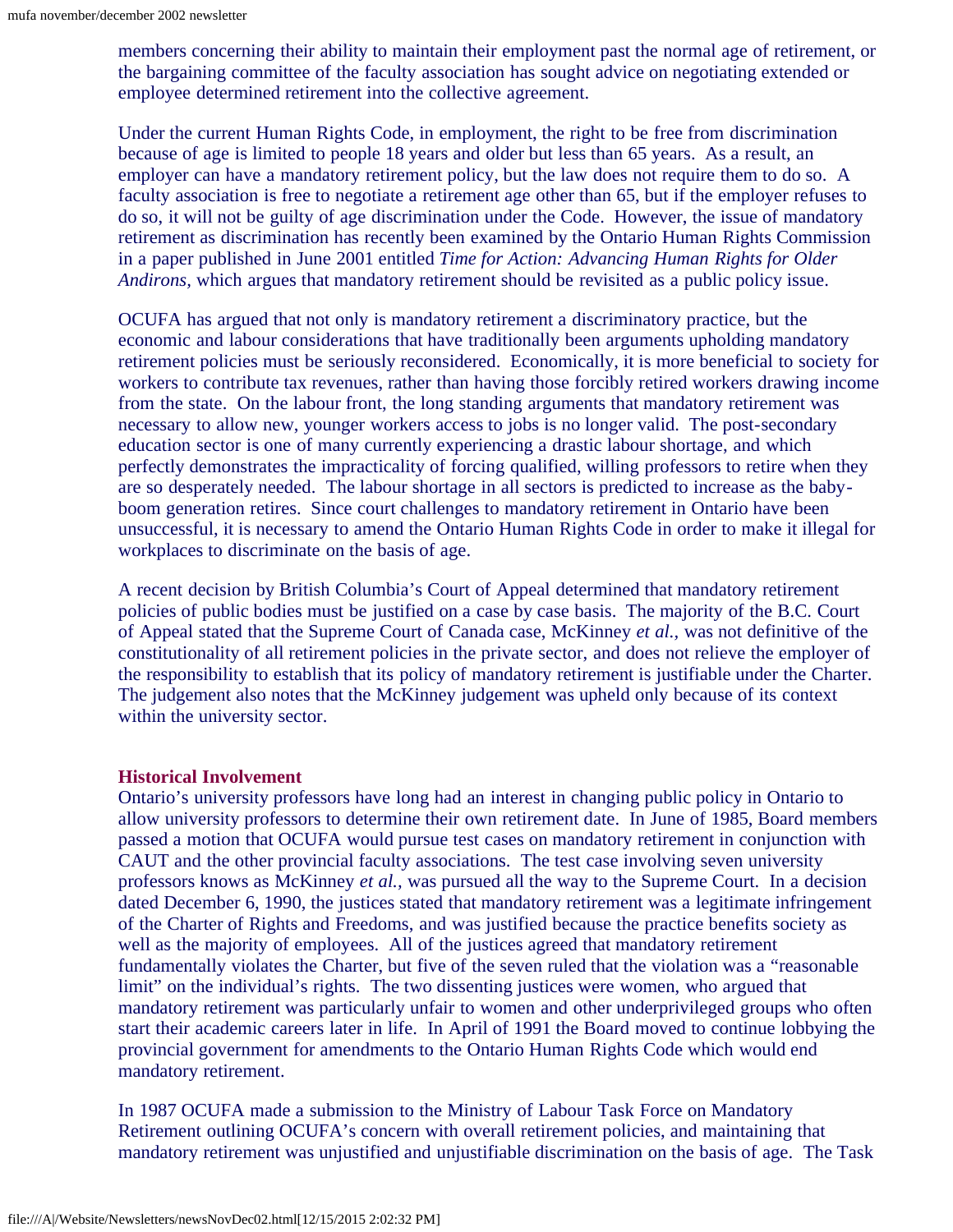members concerning their ability to maintain their employment past the normal age of retirement, or the bargaining committee of the faculty association has sought advice on negotiating extended or employee determined retirement into the collective agreement.

Under the current Human Rights Code, in employment, the right to be free from discrimination because of age is limited to people 18 years and older but less than 65 years. As a result, an employer can have a mandatory retirement policy, but the law does not require them to do so. A faculty association is free to negotiate a retirement age other than 65, but if the employer refuses to do so, it will not be guilty of age discrimination under the Code. However, the issue of mandatory retirement as discrimination has recently been examined by the Ontario Human Rights Commission in a paper published in June 2001 entitled *Time for Action: Advancing Human Rights for Older Andirons,* which argues that mandatory retirement should be revisited as a public policy issue.

OCUFA has argued that not only is mandatory retirement a discriminatory practice, but the economic and labour considerations that have traditionally been arguments upholding mandatory retirement policies must be seriously reconsidered. Economically, it is more beneficial to society for workers to contribute tax revenues, rather than having those forcibly retired workers drawing income from the state. On the labour front, the long standing arguments that mandatory retirement was necessary to allow new, younger workers access to jobs is no longer valid. The post-secondary education sector is one of many currently experiencing a drastic labour shortage, and which perfectly demonstrates the impracticality of forcing qualified, willing professors to retire when they are so desperately needed. The labour shortage in all sectors is predicted to increase as the babyboom generation retires. Since court challenges to mandatory retirement in Ontario have been unsuccessful, it is necessary to amend the Ontario Human Rights Code in order to make it illegal for workplaces to discriminate on the basis of age.

A recent decision by British Columbia's Court of Appeal determined that mandatory retirement policies of public bodies must be justified on a case by case basis. The majority of the B.C. Court of Appeal stated that the Supreme Court of Canada case, McKinney *et al.,* was not definitive of the constitutionality of all retirement policies in the private sector, and does not relieve the employer of the responsibility to establish that its policy of mandatory retirement is justifiable under the Charter. The judgement also notes that the McKinney judgement was upheld only because of its context within the university sector.

#### **Historical Involvement**

Ontario's university professors have long had an interest in changing public policy in Ontario to allow university professors to determine their own retirement date. In June of 1985, Board members passed a motion that OCUFA would pursue test cases on mandatory retirement in conjunction with CAUT and the other provincial faculty associations. The test case involving seven university professors knows as McKinney *et al.,* was pursued all the way to the Supreme Court. In a decision dated December 6, 1990, the justices stated that mandatory retirement was a legitimate infringement of the Charter of Rights and Freedoms, and was justified because the practice benefits society as well as the majority of employees. All of the justices agreed that mandatory retirement fundamentally violates the Charter, but five of the seven ruled that the violation was a "reasonable limit" on the individual's rights. The two dissenting justices were women, who argued that mandatory retirement was particularly unfair to women and other underprivileged groups who often start their academic careers later in life. In April of 1991 the Board moved to continue lobbying the provincial government for amendments to the Ontario Human Rights Code which would end mandatory retirement.

In 1987 OCUFA made a submission to the Ministry of Labour Task Force on Mandatory Retirement outlining OCUFA's concern with overall retirement policies, and maintaining that mandatory retirement was unjustified and unjustifiable discrimination on the basis of age. The Task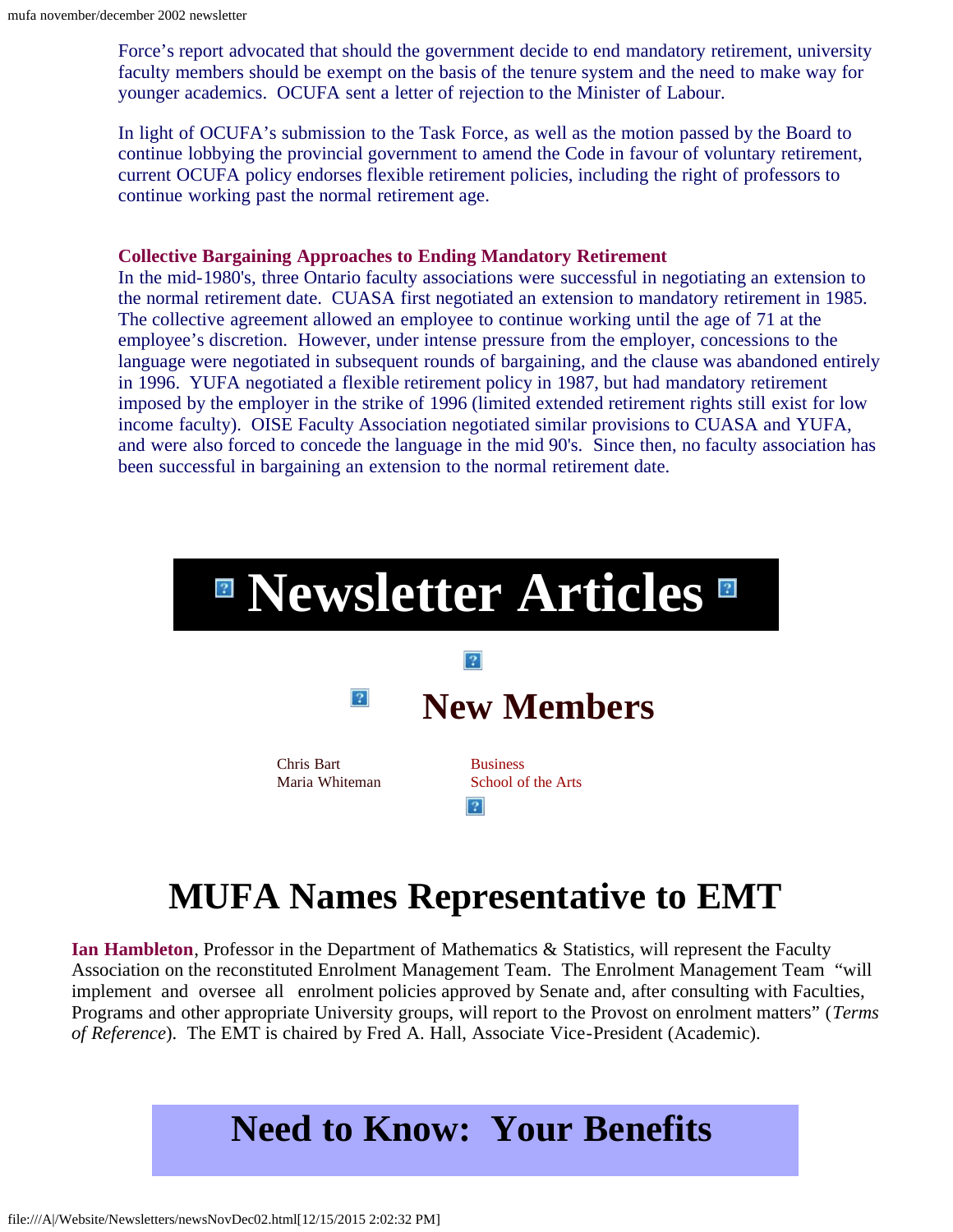Force's report advocated that should the government decide to end mandatory retirement, university faculty members should be exempt on the basis of the tenure system and the need to make way for younger academics. OCUFA sent a letter of rejection to the Minister of Labour.

In light of OCUFA's submission to the Task Force, as well as the motion passed by the Board to continue lobbying the provincial government to amend the Code in favour of voluntary retirement, current OCUFA policy endorses flexible retirement policies, including the right of professors to continue working past the normal retirement age.

#### **Collective Bargaining Approaches to Ending Mandatory Retirement**

In the mid-1980's, three Ontario faculty associations were successful in negotiating an extension to the normal retirement date. CUASA first negotiated an extension to mandatory retirement in 1985. The collective agreement allowed an employee to continue working until the age of 71 at the employee's discretion. However, under intense pressure from the employer, concessions to the language were negotiated in subsequent rounds of bargaining, and the clause was abandoned entirely in 1996. YUFA negotiated a flexible retirement policy in 1987, but had mandatory retirement imposed by the employer in the strike of 1996 (limited extended retirement rights still exist for low income faculty). OISE Faculty Association negotiated similar provisions to CUASA and YUFA, and were also forced to concede the language in the mid 90's. Since then, no faculty association has been successful in bargaining an extension to the normal retirement date.

<span id="page-9-0"></span>

# **MUFA Names Representative to EMT**

<span id="page-9-1"></span>**Ian Hambleton**, Professor in the Department of Mathematics & Statistics, will represent the Faculty Association on the reconstituted Enrolment Management Team. The Enrolment Management Team "will implement and oversee all enrolment policies approved by Senate and, after consulting with Faculties, Programs and other appropriate University groups, will report to the Provost on enrolment matters" (*Terms of Reference*). The EMT is chaired by Fred A. Hall, Associate Vice-President (Academic).

# **Need to Know: Your Benefits**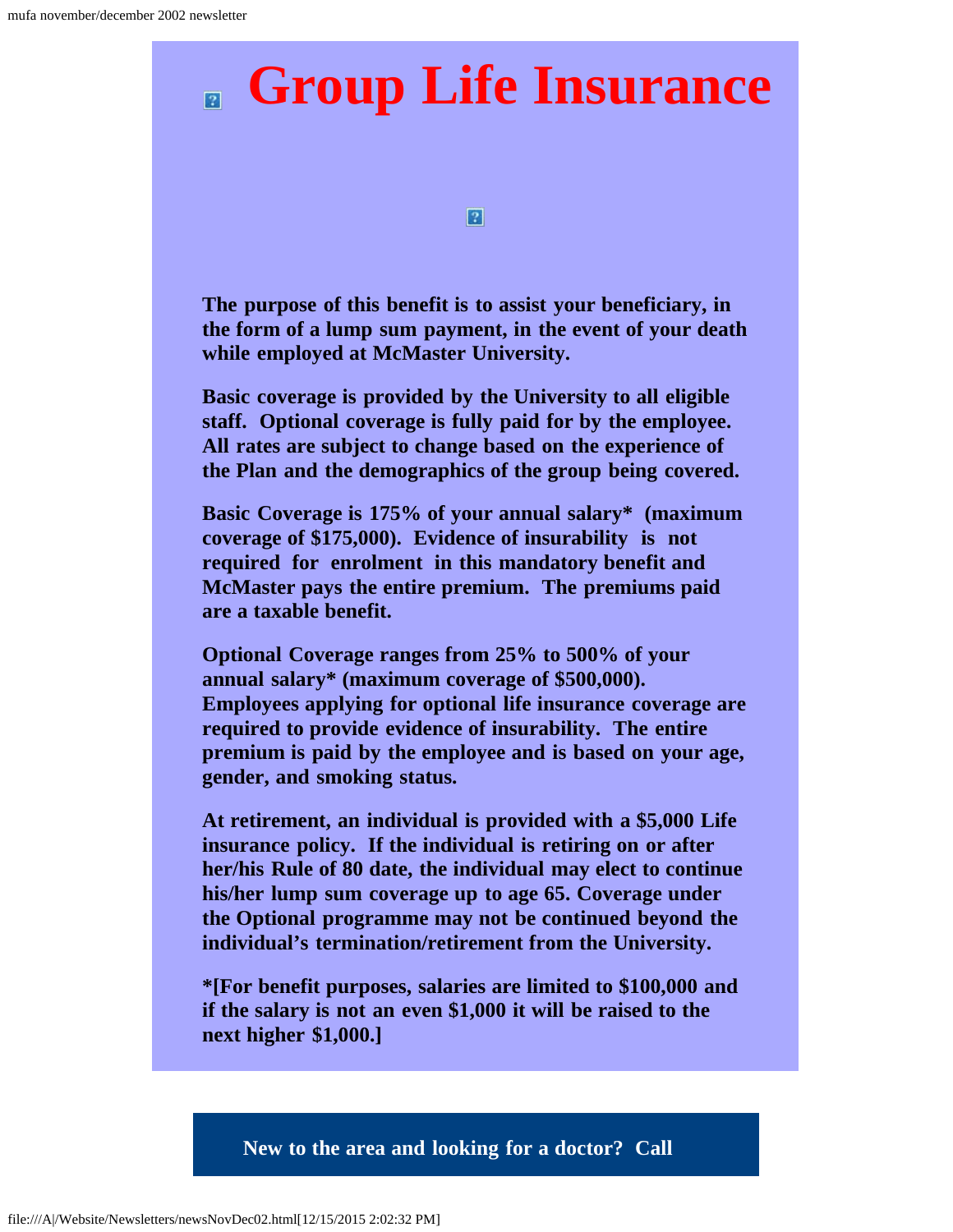# **Group Life Insurance**

 $\vert 2 \vert$ 

**The purpose of this benefit is to assist your beneficiary, in the form of a lump sum payment, in the event of your death while employed at McMaster University.**

**Basic coverage is provided by the University to all eligible staff. Optional coverage is fully paid for by the employee. All rates are subject to change based on the experience of the Plan and the demographics of the group being covered.**

**Basic Coverage is 175% of your annual salary\* (maximum coverage of \$175,000). Evidence of insurability is not required for enrolment in this mandatory benefit and McMaster pays the entire premium. The premiums paid are a taxable benefit.**

**Optional Coverage ranges from 25% to 500% of your annual salary\* (maximum coverage of \$500,000). Employees applying for optional life insurance coverage are required to provide evidence of insurability. The entire premium is paid by the employee and is based on your age, gender, and smoking status.**

**At retirement, an individual is provided with a \$5,000 Life insurance policy. If the individual is retiring on or after her/his Rule of 80 date, the individual may elect to continue his/her lump sum coverage up to age 65. Coverage under the Optional programme may not be continued beyond the individual's termination/retirement from the University.** 

**\*[For benefit purposes, salaries are limited to \$100,000 and if the salary is not an even \$1,000 it will be raised to the next higher \$1,000.]**

**New to the area and looking for a doctor? Call**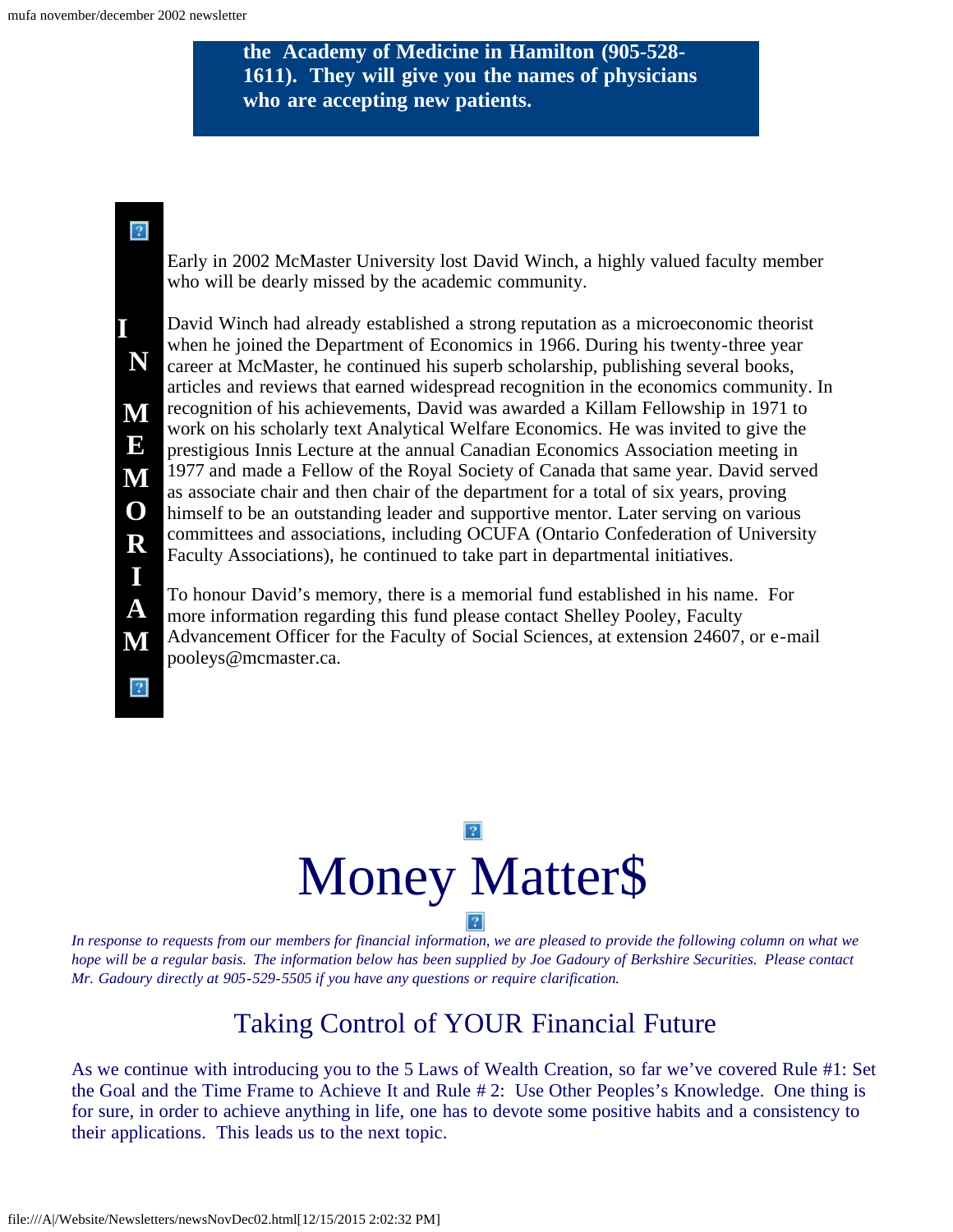**the Academy of Medicine in Hamilton (905-528- 1611). They will give you the names of physicians who are accepting new patients.**

### <span id="page-11-0"></span> $\sqrt{2}$

**I** 

**N**

**M**

**E**

**M**

**O**

**R**

**I**

**A**

**M**

Early in 2002 McMaster University lost David Winch, a highly valued faculty member who will be dearly missed by the academic community.

David Winch had already established a strong reputation as a microeconomic theorist when he joined the Department of Economics in 1966. During his twenty-three year career at McMaster, he continued his superb scholarship, publishing several books, articles and reviews that earned widespread recognition in the economics community. In recognition of his achievements, David was awarded a Killam Fellowship in 1971 to work on his scholarly text Analytical Welfare Economics. He was invited to give the prestigious Innis Lecture at the annual Canadian Economics Association meeting in 1977 and made a Fellow of the Royal Society of Canada that same year. David served as associate chair and then chair of the department for a total of six years, proving himself to be an outstanding leader and supportive mentor. Later serving on various committees and associations, including OCUFA (Ontario Confederation of University Faculty Associations), he continued to take part in departmental initiatives.

To honour David's memory, there is a memorial fund established in his name. For more information regarding this fund please contact Shelley Pooley, Faculty Advancement Officer for the Faculty of Social Sciences, at extension 24607, or e-mail pooleys@mcmaster.ca.





<span id="page-11-1"></span>*In response to requests from our members for financial information, we are pleased to provide the following column on what we hope will be a regular basis. The information below has been supplied by Joe Gadoury of Berkshire Securities. Please contact Mr. Gadoury directly at 905-529-5505 if you have any questions or require clarification.*

# Taking Control of YOUR Financial Future

As we continue with introducing you to the 5 Laws of Wealth Creation, so far we've covered Rule #1: Set the Goal and the Time Frame to Achieve It and Rule # 2: Use Other Peoples's Knowledge. One thing is for sure, in order to achieve anything in life, one has to devote some positive habits and a consistency to their applications. This leads us to the next topic.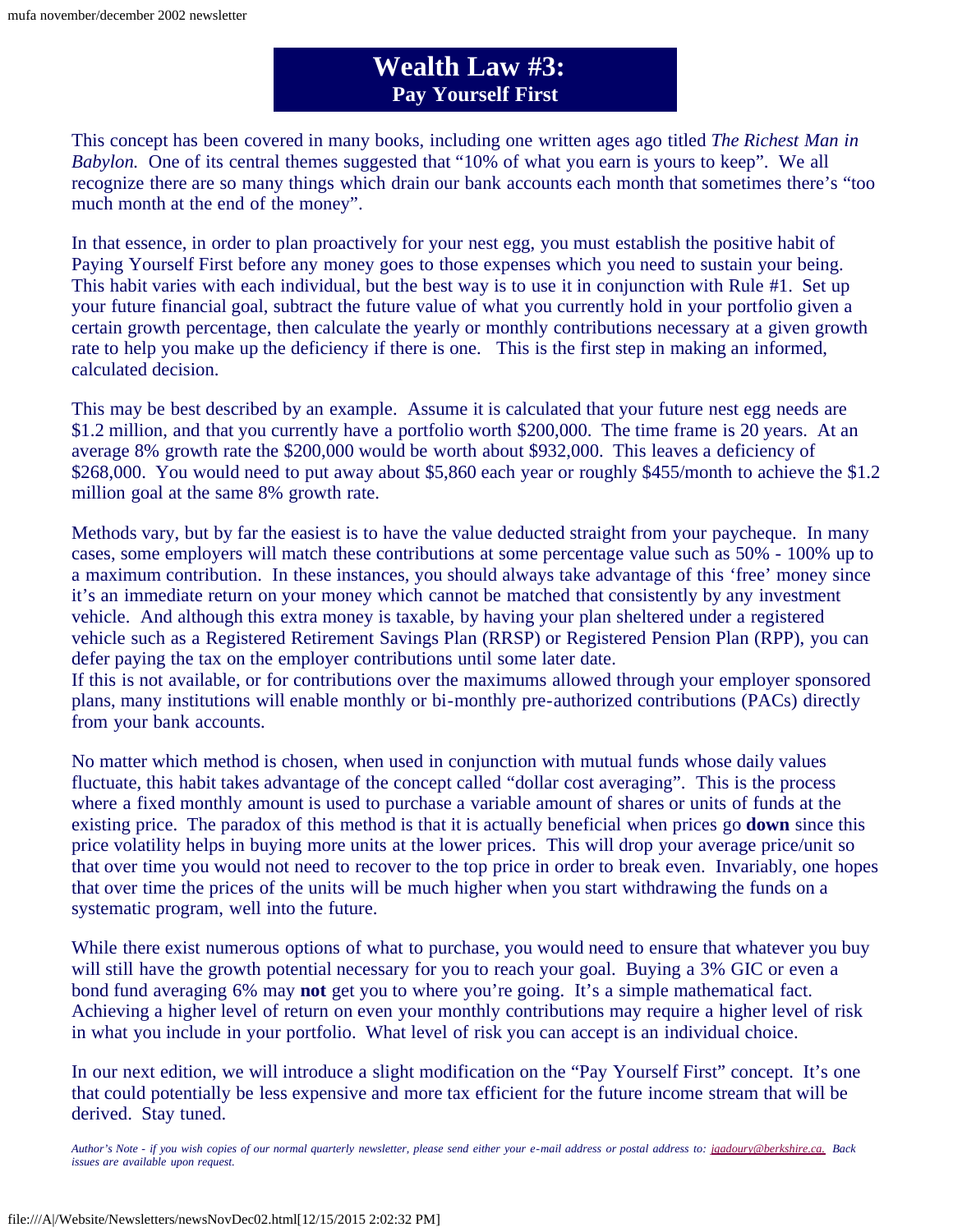## **Wealth Law #3: Pay Yourself First**

This concept has been covered in many books, including one written ages ago titled *The Richest Man in Babylon.* One of its central themes suggested that "10% of what you earn is yours to keep". We all recognize there are so many things which drain our bank accounts each month that sometimes there's "too much month at the end of the money".

In that essence, in order to plan proactively for your nest egg, you must establish the positive habit of Paying Yourself First before any money goes to those expenses which you need to sustain your being. This habit varies with each individual, but the best way is to use it in conjunction with Rule #1. Set up your future financial goal, subtract the future value of what you currently hold in your portfolio given a certain growth percentage, then calculate the yearly or monthly contributions necessary at a given growth rate to help you make up the deficiency if there is one. This is the first step in making an informed, calculated decision.

This may be best described by an example. Assume it is calculated that your future nest egg needs are \$1.2 million, and that you currently have a portfolio worth \$200,000. The time frame is 20 years. At an average 8% growth rate the \$200,000 would be worth about \$932,000. This leaves a deficiency of \$268,000. You would need to put away about \$5,860 each year or roughly \$455/month to achieve the \$1.2 million goal at the same 8% growth rate.

Methods vary, but by far the easiest is to have the value deducted straight from your paycheque. In many cases, some employers will match these contributions at some percentage value such as 50% - 100% up to a maximum contribution. In these instances, you should always take advantage of this 'free' money since it's an immediate return on your money which cannot be matched that consistently by any investment vehicle. And although this extra money is taxable, by having your plan sheltered under a registered vehicle such as a Registered Retirement Savings Plan (RRSP) or Registered Pension Plan (RPP), you can defer paying the tax on the employer contributions until some later date.

If this is not available, or for contributions over the maximums allowed through your employer sponsored plans, many institutions will enable monthly or bi-monthly pre-authorized contributions (PACs) directly from your bank accounts.

No matter which method is chosen, when used in conjunction with mutual funds whose daily values fluctuate, this habit takes advantage of the concept called "dollar cost averaging". This is the process where a fixed monthly amount is used to purchase a variable amount of shares or units of funds at the existing price. The paradox of this method is that it is actually beneficial when prices go **down** since this price volatility helps in buying more units at the lower prices. This will drop your average price/unit so that over time you would not need to recover to the top price in order to break even. Invariably, one hopes that over time the prices of the units will be much higher when you start withdrawing the funds on a systematic program, well into the future.

While there exist numerous options of what to purchase, you would need to ensure that whatever you buy will still have the growth potential necessary for you to reach your goal. Buying a 3% GIC or even a bond fund averaging 6% may **not** get you to where you're going. It's a simple mathematical fact. Achieving a higher level of return on even your monthly contributions may require a higher level of risk in what you include in your portfolio. What level of risk you can accept is an individual choice.

In our next edition, we will introduce a slight modification on the "Pay Yourself First" concept. It's one that could potentially be less expensive and more tax efficient for the future income stream that will be derived. Stay tuned.

*Author's Note - if you wish copies of our normal quarterly newsletter, please send either your e-mail address or postal address to: [jgadoury@berkshire.ca.](mailto:jgadoury@berkshire.ca) Back issues are available upon request.*